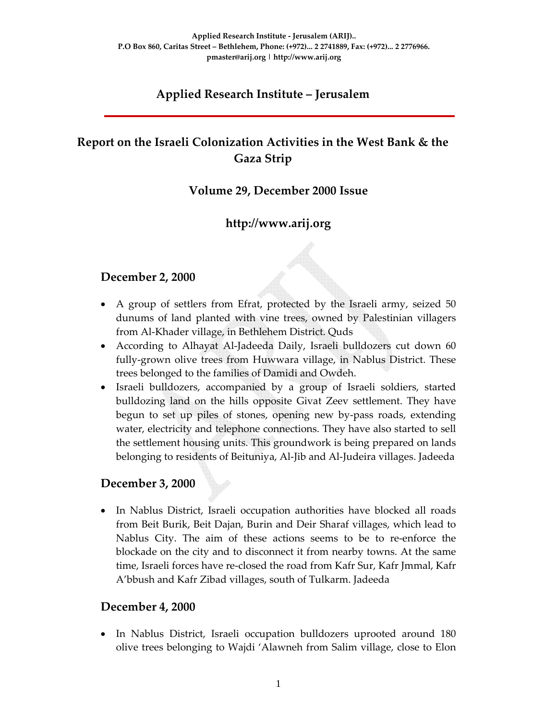# **Applied Research Institute – Jerusalem**

# **Report on the Israeli Colonization Activities in the West Bank & the Gaza Strip**

#### **Volume 29, December 2000 Issue**

## **http://www.arij.org**

#### **December 2, 2000**

- A group of settlers from Efrat, protected by the Israeli army, seized 50 dunums of land planted with vine trees, owned by Palestinian villagers from Al‐Khader village, in Bethlehem District. Quds
- According to Alhayat Al‐Jadeeda Daily, Israeli bulldozers cut down 60 fully‐grown olive trees from Huwwara village, in Nablus District. These trees belonged to the families of Damidi and Owdeh.
- Israeli bulldozers, accompanied by a group of Israeli soldiers, started bulldozing land on the hills opposite Givat Zeev settlement. They have begun to set up piles of stones, opening new by‐pass roads, extending water, electricity and telephone connections. They have also started to sell the settlement housing units. This groundwork is being prepared on lands belonging to residents of Beituniya, Al‐Jib and Al‐Judeira villages. Jadeeda

#### **December 3, 2000**

• In Nablus District, Israeli occupation authorities have blocked all roads from Beit Burik, Beit Dajan, Burin and Deir Sharaf villages, which lead to Nablus City. The aim of these actions seems to be to re‐enforce the blockade on the city and to disconnect it from nearby towns. At the same time, Israeli forces have re‐closed the road from Kafr Sur, Kafr Jmmal, Kafr A'bbush and Kafr Zibad villages, south of Tulkarm. Jadeeda

#### **December 4, 2000**

• In Nablus District, Israeli occupation bulldozers uprooted around 180 olive trees belonging to Wajdi 'Alawneh from Salim village, close to Elon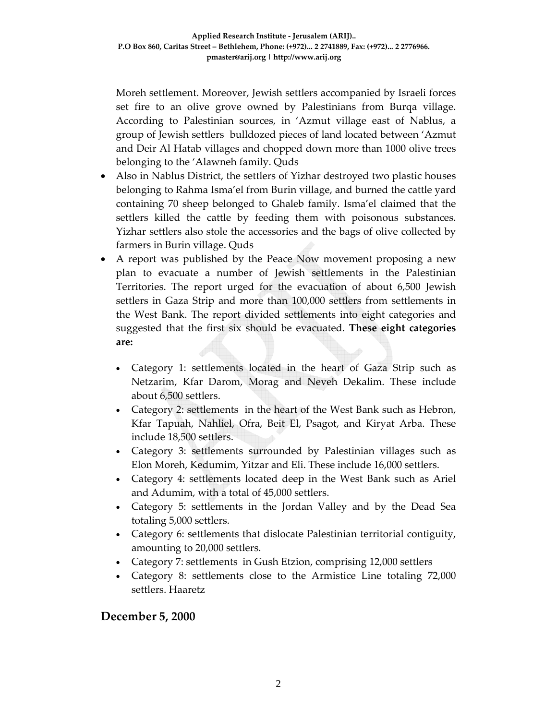Moreh settlement. Moreover, Jewish settlers accompanied by Israeli forces set fire to an olive grove owned by Palestinians from Burqa village. According to Palestinian sources, in 'Azmut village east of Nablus, a group of Jewish settlers bulldozed pieces of land located between 'Azmut and Deir Al Hatab villages and chopped down more than 1000 olive trees belonging to the 'Alawneh family. Quds

- Also in Nablus District, the settlers of Yizhar destroyed two plastic houses belonging to Rahma Isma'el from Burin village, and burned the cattle yard containing 70 sheep belonged to Ghaleb family. Isma'el claimed that the settlers killed the cattle by feeding them with poisonous substances. Yizhar settlers also stole the accessories and the bags of olive collected by farmers in Burin village. Quds
- A report was published by the Peace Now movement proposing a new plan to evacuate a number of Jewish settlements in the Palestinian Territories. The report urged for the evacuation of about 6,500 Jewish settlers in Gaza Strip and more than 100,000 settlers from settlements in the West Bank. The report divided settlements into eight categories and suggested that the first six should be evacuated. **These eight categories are:**
	- Category 1: settlements located in the heart of Gaza Strip such as Netzarim, Kfar Darom, Morag and Neveh Dekalim. These include about 6,500 settlers.
	- Category 2: settlements in the heart of the West Bank such as Hebron, Kfar Tapuah, Nahliel, Ofra, Beit El, Psagot, and Kiryat Arba. These include 18,500 settlers.
	- Category 3: settlements surrounded by Palestinian villages such as Elon Moreh, Kedumim, Yitzar and Eli. These include 16,000 settlers.
	- Category 4: settlements located deep in the West Bank such as Ariel and Adumim, with a total of 45,000 settlers.
	- Category 5: settlements in the Jordan Valley and by the Dead Sea totaling 5,000 settlers.
	- Category 6: settlements that dislocate Palestinian territorial contiguity, amounting to 20,000 settlers.
	- Category 7: settlements in Gush Etzion, comprising 12,000 settlers
	- Category 8: settlements close to the Armistice Line totaling 72,000 settlers. Haaretz

#### **December 5, 2000**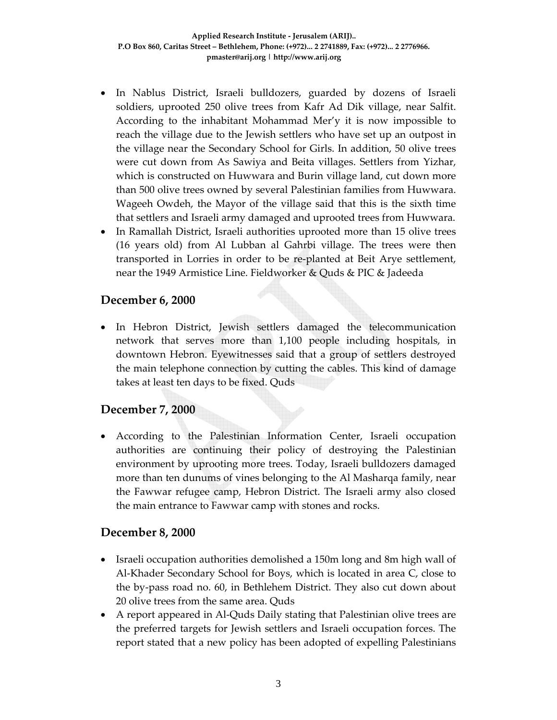- In Nablus District, Israeli bulldozers, guarded by dozens of Israeli soldiers, uprooted 250 olive trees from Kafr Ad Dik village, near Salfit. According to the inhabitant Mohammad Mer'y it is now impossible to reach the village due to the Jewish settlers who have set up an outpost in the village near the Secondary School for Girls. In addition, 50 olive trees were cut down from As Sawiya and Beita villages. Settlers from Yizhar, which is constructed on Huwwara and Burin village land, cut down more than 500 olive trees owned by several Palestinian families from Huwwara. Wageeh Owdeh, the Mayor of the village said that this is the sixth time that settlers and Israeli army damaged and uprooted trees from Huwwara.
- In Ramallah District, Israeli authorities uprooted more than 15 olive trees (16 years old) from Al Lubban al Gahrbi village. The trees were then transported in Lorries in order to be re‐planted at Beit Arye settlement, near the 1949 Armistice Line. Fieldworker & Quds & PIC & Jadeeda

#### **December 6, 2000**

• In Hebron District, Jewish settlers damaged the telecommunication network that serves more than 1,100 people including hospitals, in downtown Hebron. Eyewitnesses said that a group of settlers destroyed the main telephone connection by cutting the cables. This kind of damage takes at least ten days to be fixed. Quds

#### **December 7, 2000**

• According to the Palestinian Information Center, Israeli occupation authorities are continuing their policy of destroying the Palestinian environment by uprooting more trees. Today, Israeli bulldozers damaged more than ten dunums of vines belonging to the Al Masharqa family, near the Fawwar refugee camp, Hebron District. The Israeli army also closed the main entrance to Fawwar camp with stones and rocks.

#### **December 8, 2000**

- Israeli occupation authorities demolished a 150m long and 8m high wall of Al‐Khader Secondary School for Boys, which is located in area C, close to the by‐pass road no. 60, in Bethlehem District. They also cut down about 20 olive trees from the same area. Quds
- A report appeared in Al-Quds Daily stating that Palestinian olive trees are the preferred targets for Jewish settlers and Israeli occupation forces. The report stated that a new policy has been adopted of expelling Palestinians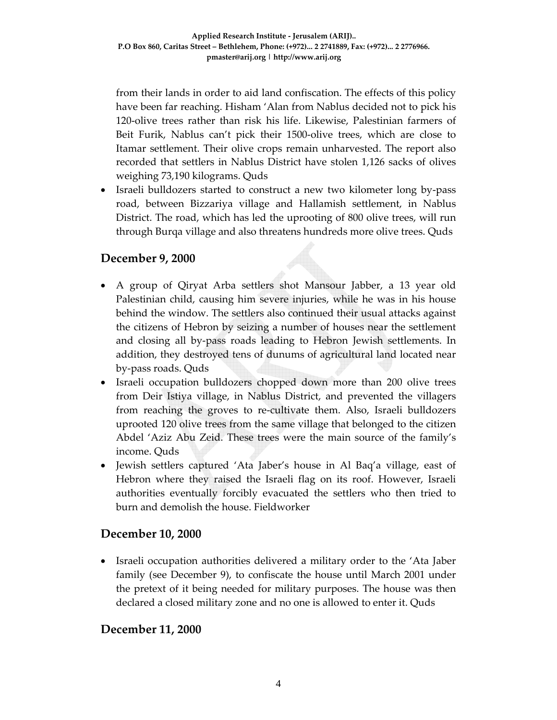from their lands in order to aid land confiscation. The effects of this policy have been far reaching. Hisham 'Alan from Nablus decided not to pick his 120-olive trees rather than risk his life. Likewise, Palestinian farmers of Beit Furik, Nablus can't pick their 1500‐olive trees, which are close to Itamar settlement. Their olive crops remain unharvested. The report also recorded that settlers in Nablus District have stolen 1,126 sacks of olives weighing 73,190 kilograms. Quds

• Israeli bulldozers started to construct a new two kilometer long by-pass road, between Bizzariya village and Hallamish settlement, in Nablus District. The road, which has led the uprooting of 800 olive trees, will run through Burqa village and also threatens hundreds more olive trees. Quds

#### **December 9, 2000**

- A group of Qiryat Arba settlers shot Mansour Jabber, a 13 year old Palestinian child, causing him severe injuries, while he was in his house behind the window. The settlers also continued their usual attacks against the citizens of Hebron by seizing a number of houses near the settlement and closing all by‐pass roads leading to Hebron Jewish settlements. In addition, they destroyed tens of dunums of agricultural land located near by‐pass roads. Quds
- Israeli occupation bulldozers chopped down more than 200 olive trees from Deir Istiya village, in Nablus District, and prevented the villagers from reaching the groves to re‐cultivate them. Also, Israeli bulldozers uprooted 120 olive trees from the same village that belonged to the citizen Abdel 'Aziz Abu Zeid. These trees were the main source of the family's income. Quds
- Jewish settlers captured 'Ata Jaber's house in Al Baq'a village, east of Hebron where they raised the Israeli flag on its roof. However, Israeli authorities eventually forcibly evacuated the settlers who then tried to burn and demolish the house. Fieldworker

#### **December 10, 2000**

• Israeli occupation authorities delivered a military order to the 'Ata Jaber family (see December 9), to confiscate the house until March 2001 under the pretext of it being needed for military purposes. The house was then declared a closed military zone and no one is allowed to enter it. Quds

#### **December 11, 2000**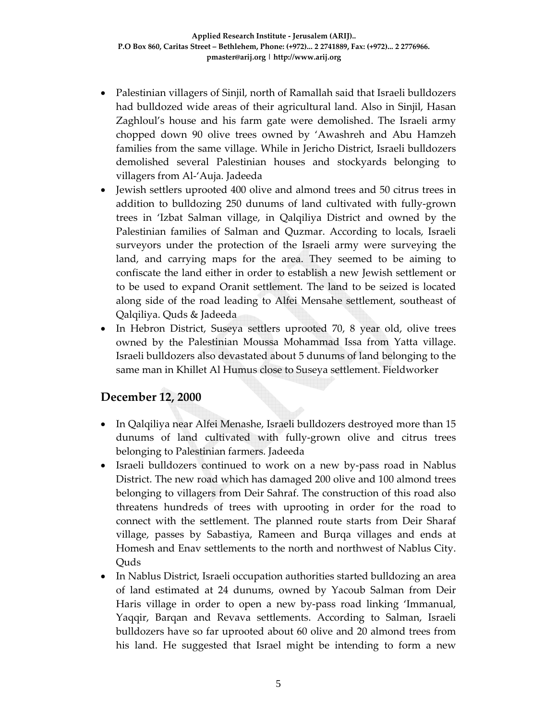- Palestinian villagers of Sinjil, north of Ramallah said that Israeli bulldozers had bulldozed wide areas of their agricultural land. Also in Sinjil, Hasan Zaghloul's house and his farm gate were demolished. The Israeli army chopped down 90 olive trees owned by 'Awashreh and Abu Hamzeh families from the same village. While in Jericho District, Israeli bulldozers demolished several Palestinian houses and stockyards belonging to villagers from Al‐'Auja. Jadeeda
- Jewish settlers uprooted 400 olive and almond trees and 50 citrus trees in addition to bulldozing 250 dunums of land cultivated with fully‐grown trees in 'Izbat Salman village, in Qalqiliya District and owned by the Palestinian families of Salman and Quzmar. According to locals, Israeli surveyors under the protection of the Israeli army were surveying the land, and carrying maps for the area. They seemed to be aiming to confiscate the land either in order to establish a new Jewish settlement or to be used to expand Oranit settlement. The land to be seized is located along side of the road leading to Alfei Mensahe settlement, southeast of Qalqiliya. Quds & Jadeeda
- In Hebron District, Suseya settlers uprooted 70, 8 year old, olive trees owned by the Palestinian Moussa Mohammad Issa from Yatta village. Israeli bulldozers also devastated about 5 dunums of land belonging to the same man in Khillet Al Humus close to Suseya settlement. Fieldworker

#### **December 12, 2000**

- In Qalqiliya near Alfei Menashe, Israeli bulldozers destroyed more than 15 dunums of land cultivated with fully‐grown olive and citrus trees belonging to Palestinian farmers. Jadeeda
- Israeli bulldozers continued to work on a new by-pass road in Nablus District. The new road which has damaged 200 olive and 100 almond trees belonging to villagers from Deir Sahraf. The construction of this road also threatens hundreds of trees with uprooting in order for the road to connect with the settlement. The planned route starts from Deir Sharaf village, passes by Sabastiya, Rameen and Burqa villages and ends at Homesh and Enav settlements to the north and northwest of Nablus City. **Ouds**
- In Nablus District, Israeli occupation authorities started bulldozing an area of land estimated at 24 dunums, owned by Yacoub Salman from Deir Haris village in order to open a new by-pass road linking 'Immanual, Yaqqir, Barqan and Revava settlements. According to Salman, Israeli bulldozers have so far uprooted about 60 olive and 20 almond trees from his land. He suggested that Israel might be intending to form a new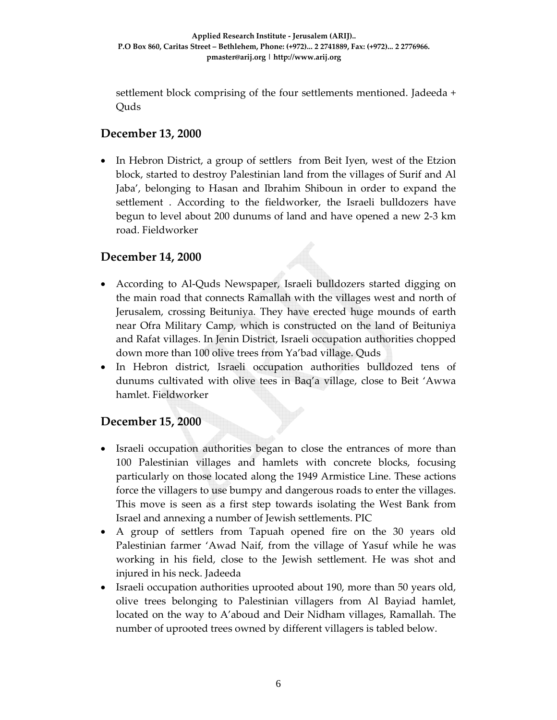settlement block comprising of the four settlements mentioned. Jadeeda + Quds

## **December 13, 2000**

• In Hebron District, a group of settlers from Beit Iyen, west of the Etzion block, started to destroy Palestinian land from the villages of Surif and Al Jaba', belonging to Hasan and Ibrahim Shiboun in order to expand the settlement . According to the fieldworker, the Israeli bulldozers have begun to level about 200 dunums of land and have opened a new 2‐3 km road. Fieldworker

#### **December 14, 2000**

- According to Al-Quds Newspaper, Israeli bulldozers started digging on the main road that connects Ramallah with the villages west and north of Jerusalem, crossing Beituniya. They have erected huge mounds of earth near Ofra Military Camp, which is constructed on the land of Beituniya and Rafat villages. In Jenin District, Israeli occupation authorities chopped down more than 100 olive trees from Ya'bad village. Quds
- In Hebron district, Israeli occupation authorities bulldozed tens of dunums cultivated with olive tees in Baq'a village, close to Beit 'Awwa hamlet. Fieldworker

#### **December 15, 2000**

- Israeli occupation authorities began to close the entrances of more than 100 Palestinian villages and hamlets with concrete blocks, focusing particularly on those located along the 1949 Armistice Line. These actions force the villagers to use bumpy and dangerous roads to enter the villages. This move is seen as a first step towards isolating the West Bank from Israel and annexing a number of Jewish settlements. PIC
- A group of settlers from Tapuah opened fire on the 30 years old Palestinian farmer 'Awad Naif, from the village of Yasuf while he was working in his field, close to the Jewish settlement. He was shot and injured in his neck. Jadeeda
- Israeli occupation authorities uprooted about 190, more than 50 years old, olive trees belonging to Palestinian villagers from Al Bayiad hamlet, located on the way to A'aboud and Deir Nidham villages, Ramallah. The number of uprooted trees owned by different villagers is tabled below.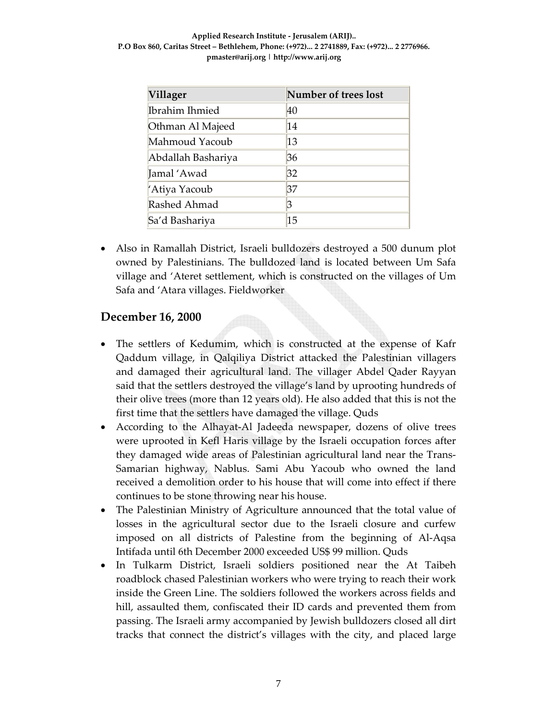| Villager           | Number of trees lost |  |  |
|--------------------|----------------------|--|--|
| Ibrahim Ihmied     | 40                   |  |  |
| Othman Al Majeed   | 14                   |  |  |
| Mahmoud Yacoub     | 13                   |  |  |
| Abdallah Bashariya | 36                   |  |  |
| Jamal 'Awad        | 32                   |  |  |
| 'Atiya Yacoub      | 37                   |  |  |
| Rashed Ahmad       | 3                    |  |  |
| Sa'd Bashariya     | 15                   |  |  |

• Also in Ramallah District, Israeli bulldozers destroyed a 500 dunum plot owned by Palestinians. The bulldozed land is located between Um Safa village and 'Ateret settlement, which is constructed on the villages of Um Safa and 'Atara villages. Fieldworker

#### **December 16, 2000**

- The settlers of Kedumim, which is constructed at the expense of Kafr Qaddum village, in Qalqiliya District attacked the Palestinian villagers and damaged their agricultural land. The villager Abdel Qader Rayyan said that the settlers destroyed the village's land by uprooting hundreds of their olive trees (more than 12 years old). He also added that this is not the first time that the settlers have damaged the village. Quds
- According to the Alhayat-Al Jadeeda newspaper, dozens of olive trees were uprooted in Kefl Haris village by the Israeli occupation forces after they damaged wide areas of Palestinian agricultural land near the Trans‐ Samarian highway, Nablus. Sami Abu Yacoub who owned the land received a demolition order to his house that will come into effect if there continues to be stone throwing near his house.
- The Palestinian Ministry of Agriculture announced that the total value of losses in the agricultural sector due to the Israeli closure and curfew imposed on all districts of Palestine from the beginning of Al‐Aqsa Intifada until 6th December 2000 exceeded US\$ 99 million. Quds
- In Tulkarm District, Israeli soldiers positioned near the At Taibeh roadblock chased Palestinian workers who were trying to reach their work inside the Green Line. The soldiers followed the workers across fields and hill, assaulted them, confiscated their ID cards and prevented them from passing. The Israeli army accompanied by Jewish bulldozers closed all dirt tracks that connect the district's villages with the city, and placed large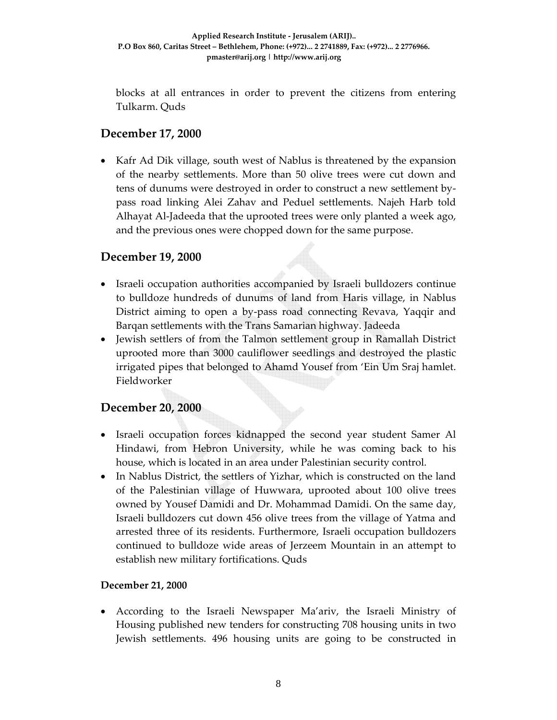blocks at all entrances in order to prevent the citizens from entering Tulkarm. Quds

## **December 17, 2000**

• Kafr Ad Dik village, south west of Nablus is threatened by the expansion of the nearby settlements. More than 50 olive trees were cut down and tens of dunums were destroyed in order to construct a new settlement by‐ pass road linking Alei Zahav and Peduel settlements. Najeh Harb told Alhayat Al‐Jadeeda that the uprooted trees were only planted a week ago, and the previous ones were chopped down for the same purpose.

#### **December 19, 2000**

- Israeli occupation authorities accompanied by Israeli bulldozers continue to bulldoze hundreds of dunums of land from Haris village, in Nablus District aiming to open a by‐pass road connecting Revava, Yaqqir and Barqan settlements with the Trans Samarian highway. Jadeeda
- Jewish settlers of from the Talmon settlement group in Ramallah District uprooted more than 3000 cauliflower seedlings and destroyed the plastic irrigated pipes that belonged to Ahamd Yousef from 'Ein Um Sraj hamlet. Fieldworker

#### **December 20, 2000**

- Israeli occupation forces kidnapped the second year student Samer Al Hindawi, from Hebron University, while he was coming back to his house, which is located in an area under Palestinian security control.
- In Nablus District, the settlers of Yizhar, which is constructed on the land of the Palestinian village of Huwwara, uprooted about 100 olive trees owned by Yousef Damidi and Dr. Mohammad Damidi. On the same day, Israeli bulldozers cut down 456 olive trees from the village of Yatma and arrested three of its residents. Furthermore, Israeli occupation bulldozers continued to bulldoze wide areas of Jerzeem Mountain in an attempt to establish new military fortifications. Quds

#### **December 21, 2000**

• According to the Israeli Newspaper Ma'ariv, the Israeli Ministry of Housing published new tenders for constructing 708 housing units in two Jewish settlements. 496 housing units are going to be constructed in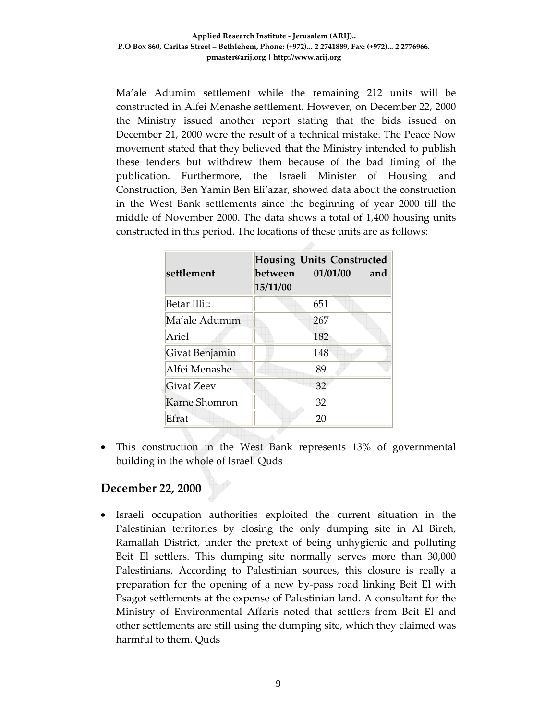Ma'ale Adumim settlement while the remaining 212 units will be constructed in Alfei Menashe settlement. However, on December 22, 2000 the Ministry issued another report stating that the bids issued on December 21, 2000 were the result of a technical mistake. The Peace Now movement stated that they believed that the Ministry intended to publish these tenders but withdrew them because of the bad timing of the publication. Furthermore, the Israeli Minister of Housing and Construction, Ben Yamin Ben Eli'azar, showed data about the construction in the West Bank settlements since the beginning of year 2000 till the middle of November 2000. The data shows a total of 1,400 housing units constructed in this period. The locations of these units are as follows:

| settlement        | <b>Housing Units Constructed</b><br>between 01/01/00<br>15/11/00 | and |
|-------------------|------------------------------------------------------------------|-----|
| Betar Illit:      | 651                                                              |     |
| Ma'ale Adumim     | 267                                                              |     |
| Ariel             | 182                                                              |     |
| Givat Benjamin    | 148                                                              |     |
| Alfei Menashe     | 89                                                               |     |
| <b>Givat Zeev</b> | 32                                                               |     |
| Karne Shomron     | 32                                                               |     |
| Efrat             | 20                                                               |     |

• This construction in the West Bank represents 13% of governmental building in the whole of Israel. Quds

#### **December 22, 2000**

• Israeli occupation authorities exploited the current situation in the Palestinian territories by closing the only dumping site in Al Bireh, Ramallah District, under the pretext of being unhygienic and polluting Beit El settlers. This dumping site normally serves more than 30,000 Palestinians. According to Palestinian sources, this closure is really a preparation for the opening of a new by‐pass road linking Beit El with Psagot settlements at the expense of Palestinian land. A consultant for the Ministry of Environmental Affaris noted that settlers from Beit El and other settlements are still using the dumping site, which they claimed was harmful to them. Quds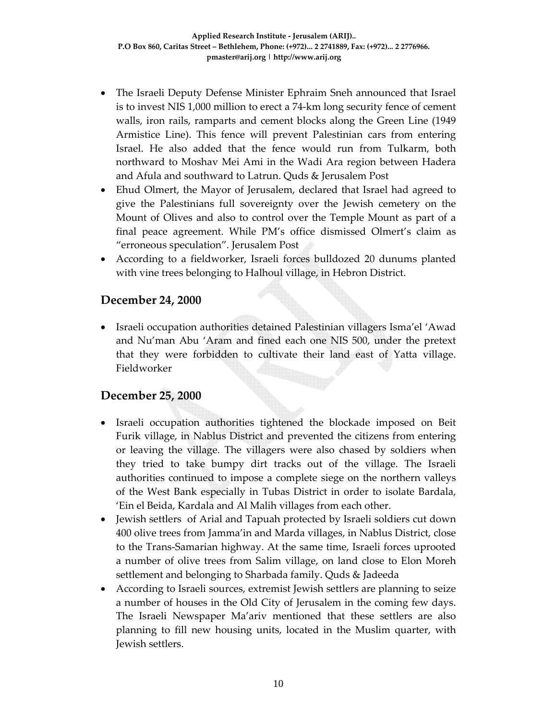- The Israeli Deputy Defense Minister Ephraim Sneh announced that Israel is to invest NIS 1,000 million to erect a 74‐km long security fence of cement walls, iron rails, ramparts and cement blocks along the Green Line (1949 Armistice Line). This fence will prevent Palestinian cars from entering Israel. He also added that the fence would run from Tulkarm, both northward to Moshav Mei Ami in the Wadi Ara region between Hadera and Afula and southward to Latrun. Quds & Jerusalem Post
- Ehud Olmert, the Mayor of Jerusalem, declared that Israel had agreed to give the Palestinians full sovereignty over the Jewish cemetery on the Mount of Olives and also to control over the Temple Mount as part of a final peace agreement. While PM's office dismissed Olmert's claim as "erroneous speculation". Jerusalem Post
- According to a fieldworker, Israeli forces bulldozed 20 dunums planted with vine trees belonging to Halhoul village, in Hebron District.

#### **December 24, 2000**

• Israeli occupation authorities detained Palestinian villagers Isma'el 'Awad and Nu'man Abu 'Aram and fined each one NIS 500, under the pretext that they were forbidden to cultivate their land east of Yatta village. Fieldworker

#### **December 25, 2000**

- Israeli occupation authorities tightened the blockade imposed on Beit Furik village, in Nablus District and prevented the citizens from entering or leaving the village. The villagers were also chased by soldiers when they tried to take bumpy dirt tracks out of the village. The Israeli authorities continued to impose a complete siege on the northern valleys of the West Bank especially in Tubas District in order to isolate Bardala, 'Ein el Beida, Kardala and Al Malih villages from each other.
- Jewish settlers of Arial and Tapuah protected by Israeli soldiers cut down 400 olive trees from Jamma'in and Marda villages, in Nablus District, close to the Trans‐Samarian highway. At the same time, Israeli forces uprooted a number of olive trees from Salim village, on land close to Elon Moreh settlement and belonging to Sharbada family. Quds & Jadeeda
- According to Israeli sources, extremist Jewish settlers are planning to seize a number of houses in the Old City of Jerusalem in the coming few days. The Israeli Newspaper Ma'ariv mentioned that these settlers are also planning to fill new housing units, located in the Muslim quarter, with Jewish settlers.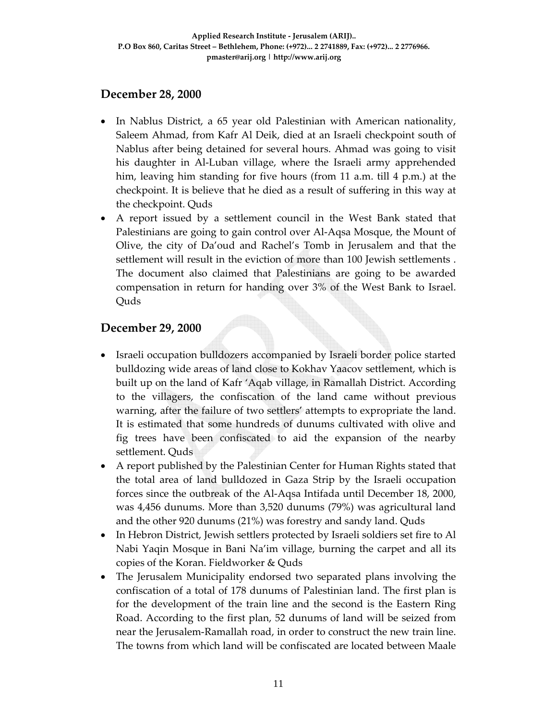#### **December 28, 2000**

- In Nablus District, a 65 year old Palestinian with American nationality, Saleem Ahmad, from Kafr Al Deik, died at an Israeli checkpoint south of Nablus after being detained for several hours. Ahmad was going to visit his daughter in Al‐Luban village, where the Israeli army apprehended him, leaving him standing for five hours (from 11 a.m. till 4 p.m.) at the checkpoint. It is believe that he died as a result of suffering in this way at the checkpoint. Quds
- A report issued by a settlement council in the West Bank stated that Palestinians are going to gain control over Al‐Aqsa Mosque, the Mount of Olive, the city of Da'oud and Rachel's Tomb in Jerusalem and that the settlement will result in the eviction of more than 100 Jewish settlements . The document also claimed that Palestinians are going to be awarded compensation in return for handing over 3% of the West Bank to Israel. Quds

#### **December 29, 2000**

- Israeli occupation bulldozers accompanied by Israeli border police started bulldozing wide areas of land close to Kokhav Yaacov settlement, which is built up on the land of Kafr 'Aqab village, in Ramallah District. According to the villagers, the confiscation of the land came without previous warning, after the failure of two settlers' attempts to expropriate the land. It is estimated that some hundreds of dunums cultivated with olive and fig trees have been confiscated to aid the expansion of the nearby settlement. Quds
- A report published by the Palestinian Center for Human Rights stated that the total area of land bulldozed in Gaza Strip by the Israeli occupation forces since the outbreak of the Al‐Aqsa Intifada until December 18, 2000, was 4,456 dunums. More than 3,520 dunums (79%) was agricultural land and the other 920 dunums (21%) was forestry and sandy land. Quds
- In Hebron District, Jewish settlers protected by Israeli soldiers set fire to Al Nabi Yaqin Mosque in Bani Na'im village, burning the carpet and all its copies of the Koran. Fieldworker & Quds
- The Jerusalem Municipality endorsed two separated plans involving the confiscation of a total of 178 dunums of Palestinian land. The first plan is for the development of the train line and the second is the Eastern Ring Road. According to the first plan, 52 dunums of land will be seized from near the Jerusalem‐Ramallah road, in order to construct the new train line. The towns from which land will be confiscated are located between Maale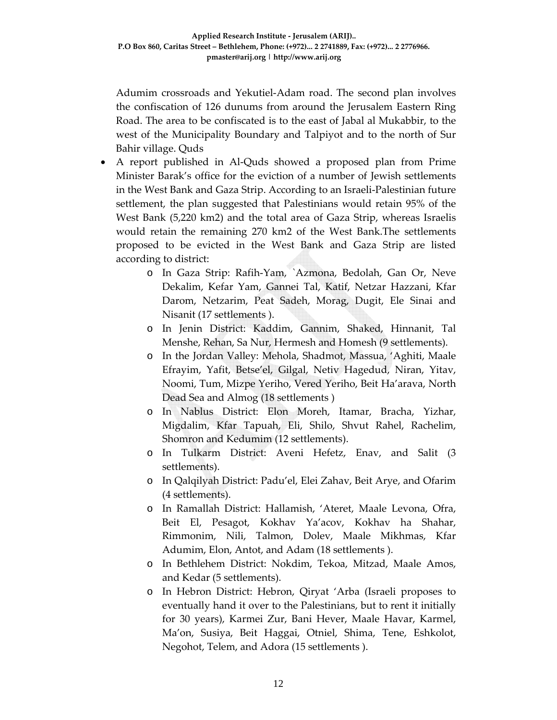Adumim crossroads and Yekutiel‐Adam road. The second plan involves the confiscation of 126 dunums from around the Jerusalem Eastern Ring Road. The area to be confiscated is to the east of Jabal al Mukabbir, to the west of the Municipality Boundary and Talpiyot and to the north of Sur Bahir village. Quds

- A report published in Al-Quds showed a proposed plan from Prime Minister Barak's office for the eviction of a number of Jewish settlements in the West Bank and Gaza Strip. According to an Israeli‐Palestinian future settlement, the plan suggested that Palestinians would retain 95% of the West Bank (5,220 km2) and the total area of Gaza Strip, whereas Israelis would retain the remaining 270 km2 of the West Bank.The settlements proposed to be evicted in the West Bank and Gaza Strip are listed according to district:
	- o In Gaza Strip: Rafih‐Yam, `Azmona, Bedolah, Gan Or, Neve Dekalim, Kefar Yam, Gannei Tal, Katif, Netzar Hazzani, Kfar Darom, Netzarim, Peat Sadeh, Morag, Dugit, Ele Sinai and Nisanit (17 settlements ).
	- o In Jenin District: Kaddim, Gannim, Shaked, Hinnanit, Tal Menshe, Rehan, Sa Nur, Hermesh and Homesh (9 settlements).
	- o In the Jordan Valley: Mehola, Shadmot, Massua, 'Aghiti, Maale Efrayim, Yafit, Betse'el, Gilgal, Netiv Hagedud, Niran, Yitav, Noomi, Tum, Mizpe Yeriho, Vered Yeriho, Beit Ha'arava, North Dead Sea and Almog (18 settlements )
	- o In Nablus District: Elon Moreh, Itamar, Bracha, Yizhar, Migdalim, Kfar Tapuah, Eli, Shilo, Shvut Rahel, Rachelim, Shomron and Kedumim (12 settlements).
	- o In Tulkarm District: Aveni Hefetz, Enav, and Salit (3 settlements).
	- o In Qalqilyah District: Padu'el, Elei Zahav, Beit Arye, and Ofarim (4 settlements).
	- o In Ramallah District: Hallamish, 'Ateret, Maale Levona, Ofra, Beit El, Pesagot, Kokhav Ya'acov, Kokhav ha Shahar, Rimmonim, Nili, Talmon, Dolev, Maale Mikhmas, Kfar Adumim, Elon, Antot, and Adam (18 settlements ).
	- o In Bethlehem District: Nokdim, Tekoa, Mitzad, Maale Amos, and Kedar (5 settlements).
	- o In Hebron District: Hebron, Qiryat 'Arba (Israeli proposes to eventually hand it over to the Palestinians, but to rent it initially for 30 years), Karmei Zur, Bani Hever, Maale Havar, Karmel, Ma'on, Susiya, Beit Haggai, Otniel, Shima, Tene, Eshkolot, Negohot, Telem, and Adora (15 settlements ).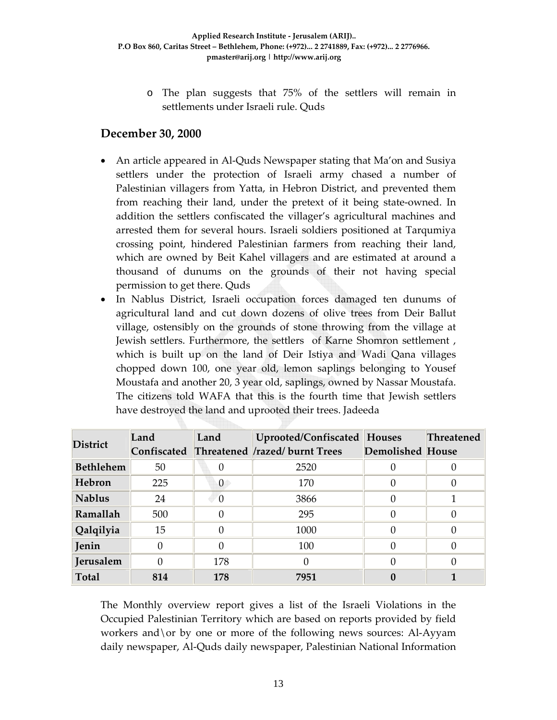o The plan suggests that 75% of the settlers will remain in settlements under Israeli rule. Quds

#### **December 30, 2000**

- An article appeared in Al-Quds Newspaper stating that Ma'on and Susiya settlers under the protection of Israeli army chased a number of Palestinian villagers from Yatta, in Hebron District, and prevented them from reaching their land, under the pretext of it being state‐owned. In addition the settlers confiscated the villager's agricultural machines and arrested them for several hours. Israeli soldiers positioned at Tarqumiya crossing point, hindered Palestinian farmers from reaching their land, which are owned by Beit Kahel villagers and are estimated at around a thousand of dunums on the grounds of their not having special permission to get there. Quds
- In Nablus District, Israeli occupation forces damaged ten dunums of agricultural land and cut down dozens of olive trees from Deir Ballut village, ostensibly on the grounds of stone throwing from the village at Jewish settlers. Furthermore, the settlers of Karne Shomron settlement, which is built up on the land of Deir Istiya and Wadi Qana villages chopped down 100, one year old, lemon saplings belonging to Yousef Moustafa and another 20, 3 year old, saplings, owned by Nassar Moustafa. The citizens told WAFA that this is the fourth time that Jewish settlers have destroyed the land and uprooted their trees. Jadeeda

| <b>District</b>  | Land | Land | Uprooted/Confiscated<br>Confiscated Threatened /razed/ burnt Trees | Houses<br><b>Demolished House</b> | <b>Threatened</b> |
|------------------|------|------|--------------------------------------------------------------------|-----------------------------------|-------------------|
| <b>Bethlehem</b> | 50   |      | 2520                                                               |                                   |                   |
| Hebron           | 225  | 0    | 170                                                                |                                   |                   |
| <b>Nablus</b>    | 24   |      | 3866                                                               |                                   |                   |
| Ramallah         | 500  |      | 295                                                                |                                   |                   |
| Qalqilyia        | 15   |      | 1000                                                               |                                   |                   |
| Jenin            |      |      | 100                                                                |                                   |                   |
| Jerusalem        |      | 178  | 0                                                                  |                                   |                   |
| <b>Total</b>     | 814  | 178  | 7951                                                               |                                   |                   |

The Monthly overview report gives a list of the Israeli Violations in the Occupied Palestinian Territory which are based on reports provided by field workers and  $\or$  by one or more of the following news sources: Al-Ayyam daily newspaper, Al‐Quds daily newspaper, Palestinian National Information